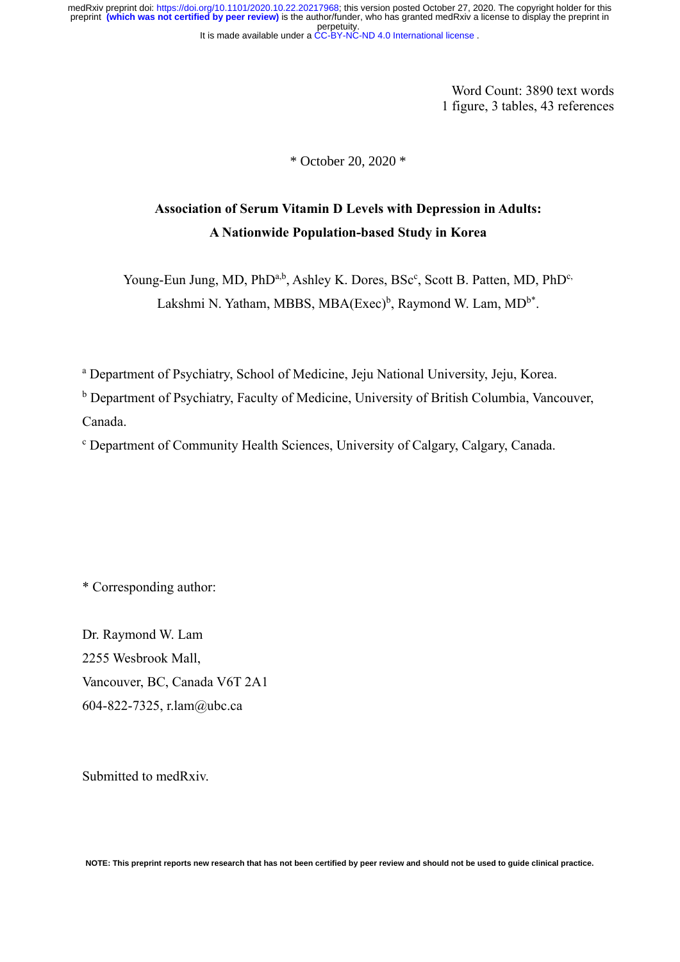It is made available under a [CC-BY-NC-ND 4.0 International license](http://creativecommons.org/licenses/by-nc-nd/4.0/) . perpetuity. medRxiv preprint doi: [https://doi.org/10.1101/2020.10.22.20217968;](https://doi.org/10.1101/2020.10.22.20217968) this version posted October 27, 2020. The copyright holder for this<br>preprint (which was not certified by peer review) is the author/funder, who has granted

> Word Count: 3890 text words 1 figure, 3 tables, 43 references

\* October 20, 2020 \*

# **Association of Serum Vitamin D Levels with Depression in Adults: A Nationwide Population-based Study in Korea**

Young-Eun Jung, MD, PhD<sup>a,b</sup>, Ashley K. Dores, BSc<sup>c</sup>, Scott B. Patten, MD, PhD<sup>c,</sup> Lakshmi N. Yatham, MBBS, MBA(Exec)<sup>b</sup>, Raymond W. Lam, MD<sup>b\*</sup>.

<sup>a</sup> Department of Psychiatry, School of Medicine, Jeju National University, Jeju, Korea.

<sup>b</sup> Department of Psychiatry, Faculty of Medicine, University of British Columbia, Vancouver, Canada.

<sup>c</sup> Department of Community Health Sciences, University of Calgary, Calgary, Canada.

\* Corresponding author:

Dr. Raymond W. Lam 2255 Wesbrook Mall, Vancouver, BC, Canada V6T 2A1 604-822-7325, r.lam@ubc.ca

Submitted to medRxiv.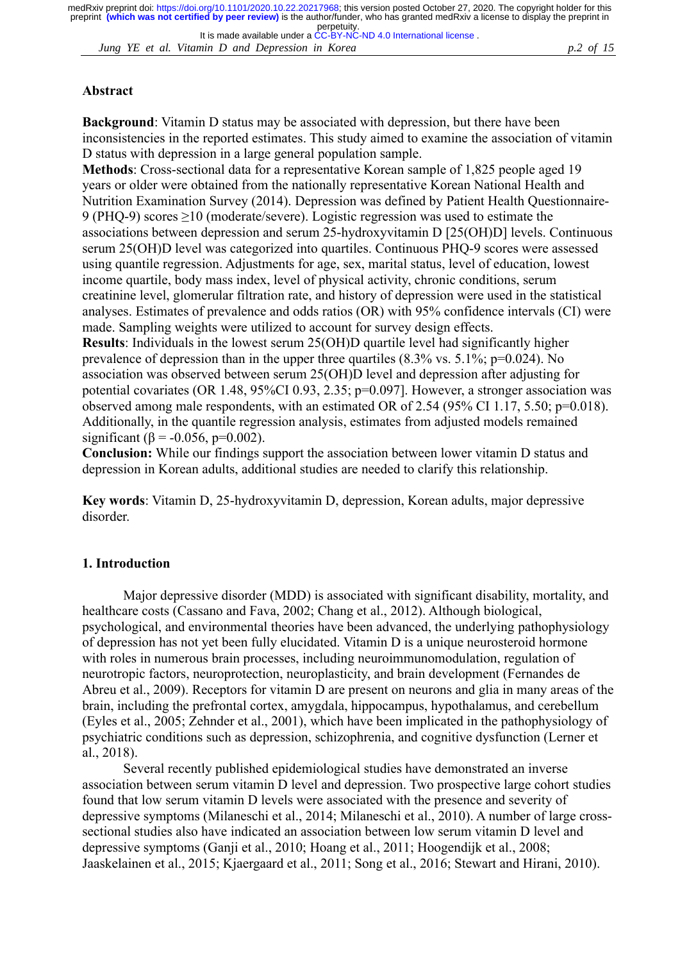*Jung YE et al. Vitamin D and Depression in Korea p.2 of 15* It is made available under a [CC-BY-NC-ND 4.0 International license](http://creativecommons.org/licenses/by-nc-nd/4.0/) .

### **Abstract**

**Background**: Vitamin D status may be associated with depression, but there have been inconsistencies in the reported estimates. This study aimed to examine the association of vitamin D status with depression in a large general population sample.

**Methods**: Cross-sectional data for a representative Korean sample of 1,825 people aged 19 years or older were obtained from the nationally representative Korean National Health and Nutrition Examination Survey (2014). Depression was defined by Patient Health Questionnaire-9 (PHQ-9) scores ≥10 (moderate/severe). Logistic regression was used to estimate the associations between depression and serum 25-hydroxyvitamin D [25(OH)D] levels. Continuous serum 25(OH)D level was categorized into quartiles. Continuous PHQ-9 scores were assessed using quantile regression. Adjustments for age, sex, marital status, level of education, lowest income quartile, body mass index, level of physical activity, chronic conditions, serum creatinine level, glomerular filtration rate, and history of depression were used in the statistical analyses. Estimates of prevalence and odds ratios (OR) with 95% confidence intervals (CI) were made. Sampling weights were utilized to account for survey design effects.

**Results**: Individuals in the lowest serum 25(OH)D quartile level had significantly higher prevalence of depression than in the upper three quartiles  $(8.3\% \text{ vs. } 5.1\% \text{ in } = 0.024)$ . No association was observed between serum 25(OH)D level and depression after adjusting for potential covariates (OR 1.48, 95%CI 0.93, 2.35; p=0.097]. However, a stronger association was observed among male respondents, with an estimated OR of 2.54 (95% CI 1.17, 5.50; p=0.018). Additionally, in the quantile regression analysis, estimates from adjusted models remained significant ( $\beta$  = -0.056, p=0.002).

**Conclusion:** While our findings support the association between lower vitamin D status and depression in Korean adults, additional studies are needed to clarify this relationship.

**Key words**: Vitamin D, 25-hydroxyvitamin D, depression, Korean adults, major depressive disorder.

### **1. Introduction**

Major depressive disorder (MDD) is associated with significant disability, mortality, and healthcare costs (Cassano and Fava, 2002; Chang et al., 2012). Although biological, psychological, and environmental theories have been advanced, the underlying pathophysiology of depression has not yet been fully elucidated. Vitamin D is a unique neurosteroid hormone with roles in numerous brain processes, including neuroimmunomodulation, regulation of neurotropic factors, neuroprotection, neuroplasticity, and brain development (Fernandes de Abreu et al., 2009). Receptors for vitamin D are present on neurons and glia in many areas of the brain, including the prefrontal cortex, amygdala, hippocampus, hypothalamus, and cerebellum (Eyles et al., 2005; Zehnder et al., 2001), which have been implicated in the pathophysiology of psychiatric conditions such as depression, schizophrenia, and cognitive dysfunction (Lerner et al., 2018).

Several recently published epidemiological studies have demonstrated an inverse association between serum vitamin D level and depression. Two prospective large cohort studies found that low serum vitamin D levels were associated with the presence and severity of depressive symptoms (Milaneschi et al., 2014; Milaneschi et al., 2010). A number of large crosssectional studies also have indicated an association between low serum vitamin D level and depressive symptoms (Ganji et al., 2010; Hoang et al., 2011; Hoogendijk et al., 2008; Jaaskelainen et al., 2015; Kjaergaard et al., 2011; Song et al., 2016; Stewart and Hirani, 2010).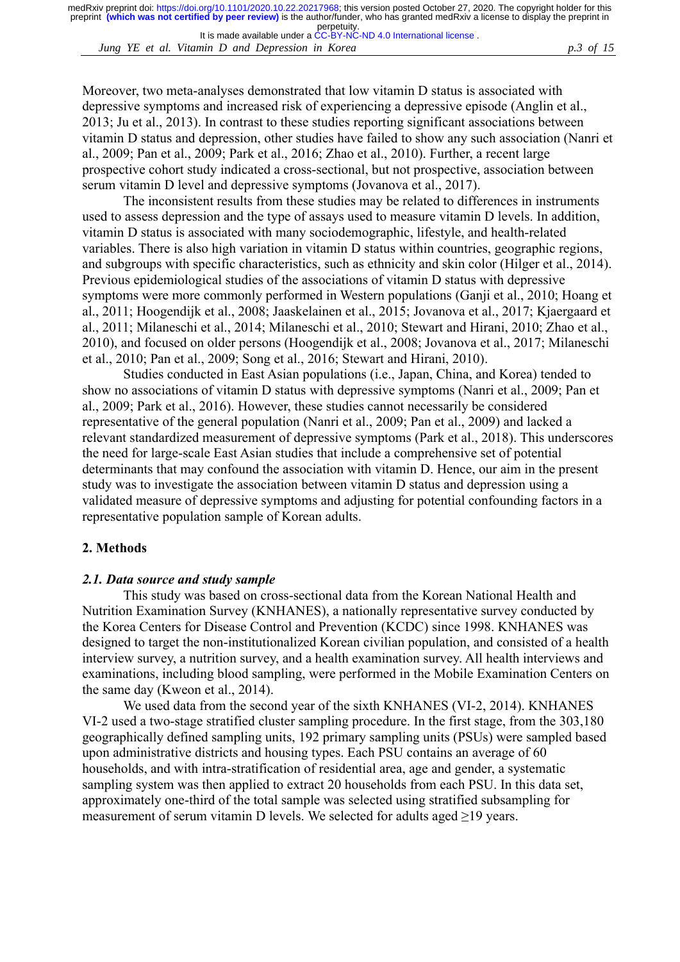It is made available under a [CC-BY-NC-ND 4.0 International license](http://creativecommons.org/licenses/by-nc-nd/4.0/) .

*Jung YE et al. Vitamin D and Depression in Korea p.3 of 15*

Moreover, two meta-analyses demonstrated that low vitamin D status is associated with depressive symptoms and increased risk of experiencing a depressive episode (Anglin et al., 2013; Ju et al., 2013). In contrast to these studies reporting significant associations between vitamin D status and depression, other studies have failed to show any such association (Nanri et al., 2009; Pan et al., 2009; Park et al., 2016; Zhao et al., 2010). Further, a recent large prospective cohort study indicated a cross-sectional, but not prospective, association between serum vitamin D level and depressive symptoms (Jovanova et al., 2017).

The inconsistent results from these studies may be related to differences in instruments used to assess depression and the type of assays used to measure vitamin D levels. In addition, vitamin D status is associated with many sociodemographic, lifestyle, and health-related variables. There is also high variation in vitamin D status within countries, geographic regions, and subgroups with specific characteristics, such as ethnicity and skin color (Hilger et al., 2014). Previous epidemiological studies of the associations of vitamin D status with depressive symptoms were more commonly performed in Western populations (Ganji et al., 2010; Hoang et al., 2011; Hoogendijk et al., 2008; Jaaskelainen et al., 2015; Jovanova et al., 2017; Kjaergaard et al., 2011; Milaneschi et al., 2014; Milaneschi et al., 2010; Stewart and Hirani, 2010; Zhao et al., 2010), and focused on older persons (Hoogendijk et al., 2008; Jovanova et al., 2017; Milaneschi et al., 2010; Pan et al., 2009; Song et al., 2016; Stewart and Hirani, 2010).

Studies conducted in East Asian populations (i.e., Japan, China, and Korea) tended to show no associations of vitamin D status with depressive symptoms (Nanri et al., 2009; Pan et al., 2009; Park et al., 2016). However, these studies cannot necessarily be considered representative of the general population (Nanri et al., 2009; Pan et al., 2009) and lacked a relevant standardized measurement of depressive symptoms (Park et al., 2018). This underscores the need for large-scale East Asian studies that include a comprehensive set of potential determinants that may confound the association with vitamin D. Hence, our aim in the present study was to investigate the association between vitamin D status and depression using a validated measure of depressive symptoms and adjusting for potential confounding factors in a representative population sample of Korean adults.

#### **2. Methods**

#### *2.1. Data source and study sample*

This study was based on cross-sectional data from the Korean National Health and Nutrition Examination Survey (KNHANES), a nationally representative survey conducted by the Korea Centers for Disease Control and Prevention (KCDC) since 1998. KNHANES was designed to target the non-institutionalized Korean civilian population, and consisted of a health interview survey, a nutrition survey, and a health examination survey. All health interviews and examinations, including blood sampling, were performed in the Mobile Examination Centers on the same day (Kweon et al., 2014).

We used data from the second year of the sixth KNHANES (VI-2, 2014). KNHANES VI-2 used a two-stage stratified cluster sampling procedure. In the first stage, from the 303,180 geographically defined sampling units, 192 primary sampling units (PSUs) were sampled based upon administrative districts and housing types. Each PSU contains an average of 60 households, and with intra-stratification of residential area, age and gender, a systematic sampling system was then applied to extract 20 households from each PSU. In this data set, approximately one-third of the total sample was selected using stratified subsampling for measurement of serum vitamin D levels. We selected for adults aged  $\geq$ 19 years.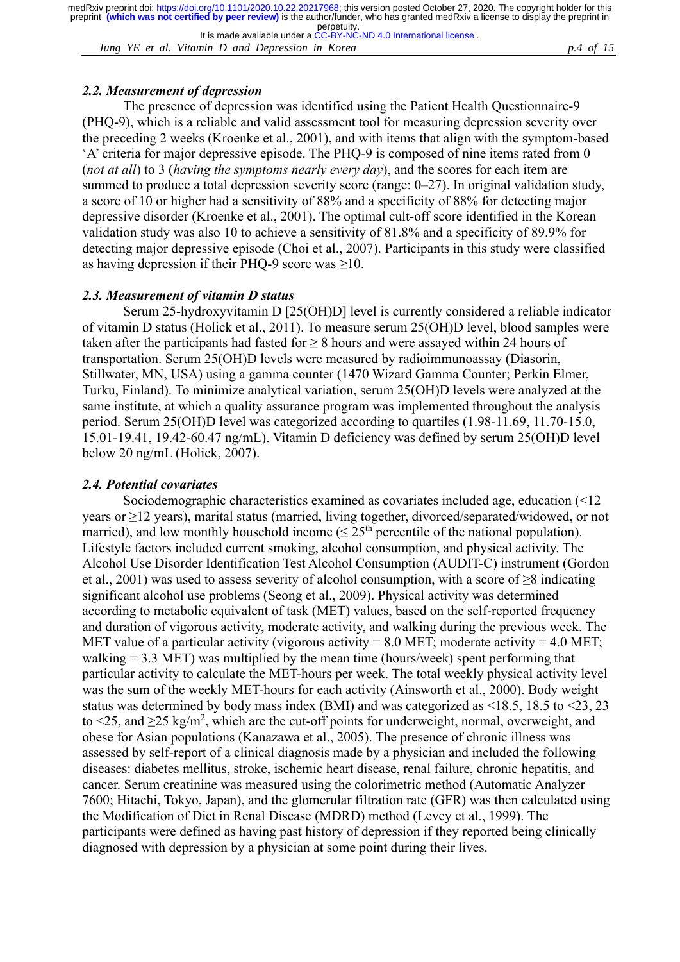*Jung YE et al. Vitamin D and Depression in Korea p.4 of 15* It is made available under a [CC-BY-NC-ND 4.0 International license](http://creativecommons.org/licenses/by-nc-nd/4.0/) .

# *2.2. Measurement of depression*

The presence of depression was identified using the Patient Health Questionnaire-9 (PHQ-9), which is a reliable and valid assessment tool for measuring depression severity over the preceding 2 weeks (Kroenke et al., 2001), and with items that align with the symptom-based 'A' criteria for major depressive episode. The PHQ-9 is composed of nine items rated from 0 (*not at all*) to 3 (*having the symptoms nearly every day*), and the scores for each item are summed to produce a total depression severity score (range: 0–27). In original validation study, a score of 10 or higher had a sensitivity of 88% and a specificity of 88% for detecting major depressive disorder (Kroenke et al., 2001). The optimal cult-off score identified in the Korean validation study was also 10 to achieve a sensitivity of 81.8% and a specificity of 89.9% for detecting major depressive episode (Choi et al., 2007). Participants in this study were classified as having depression if their PHQ-9 score was  $\geq$ 10.

### *2.3. Measurement of vitamin D status*

Serum 25-hydroxyvitamin D [25(OH)D] level is currently considered a reliable indicator of vitamin D status (Holick et al., 2011). To measure serum 25(OH)D level, blood samples were taken after the participants had fasted for  $\geq 8$  hours and were assayed within 24 hours of transportation. Serum 25(OH)D levels were measured by radioimmunoassay (Diasorin, Stillwater, MN, USA) using a gamma counter (1470 Wizard Gamma Counter; Perkin Elmer, Turku, Finland). To minimize analytical variation, serum 25(OH)D levels were analyzed at the same institute, at which a quality assurance program was implemented throughout the analysis period. Serum 25(OH)D level was categorized according to quartiles (1.98-11.69, 11.70-15.0, 15.01-19.41, 19.42-60.47 ng/mL). Vitamin D deficiency was defined by serum 25(OH)D level below 20 ng/mL (Holick, 2007).

### *2.4. Potential covariates*

Sociodemographic characteristics examined as covariates included age, education (<12 years or ≥12 years), marital status (married, living together, divorced/separated/widowed, or not married), and low monthly household income ( $\leq 25<sup>th</sup>$  percentile of the national population). Lifestyle factors included current smoking, alcohol consumption, and physical activity. The Alcohol Use Disorder Identification Test Alcohol Consumption (AUDIT-C) instrument (Gordon et al., 2001) was used to assess severity of alcohol consumption, with a score of  $\geq 8$  indicating significant alcohol use problems (Seong et al., 2009). Physical activity was determined according to metabolic equivalent of task (MET) values, based on the self-reported frequency and duration of vigorous activity, moderate activity, and walking during the previous week. The MET value of a particular activity (vigorous activity =  $8.0$  MET; moderate activity =  $4.0$  MET; walking = 3.3 MET) was multiplied by the mean time (hours/week) spent performing that particular activity to calculate the MET-hours per week. The total weekly physical activity level was the sum of the weekly MET-hours for each activity (Ainsworth et al., 2000). Body weight status was determined by body mass index (BMI) and was categorized as <18.5, 18.5 to <23, 23 to  $\leq$ 25, and  $\geq$ 25 kg/m<sup>2</sup>, which are the cut-off points for underweight, normal, overweight, and obese for Asian populations (Kanazawa et al., 2005). The presence of chronic illness was assessed by self-report of a clinical diagnosis made by a physician and included the following diseases: diabetes mellitus, stroke, ischemic heart disease, renal failure, chronic hepatitis, and cancer. Serum creatinine was measured using the colorimetric method (Automatic Analyzer 7600; Hitachi, Tokyo, Japan), and the glomerular filtration rate (GFR) was then calculated using the Modification of Diet in Renal Disease (MDRD) method (Levey et al., 1999). The participants were defined as having past history of depression if they reported being clinically diagnosed with depression by a physician at some point during their lives.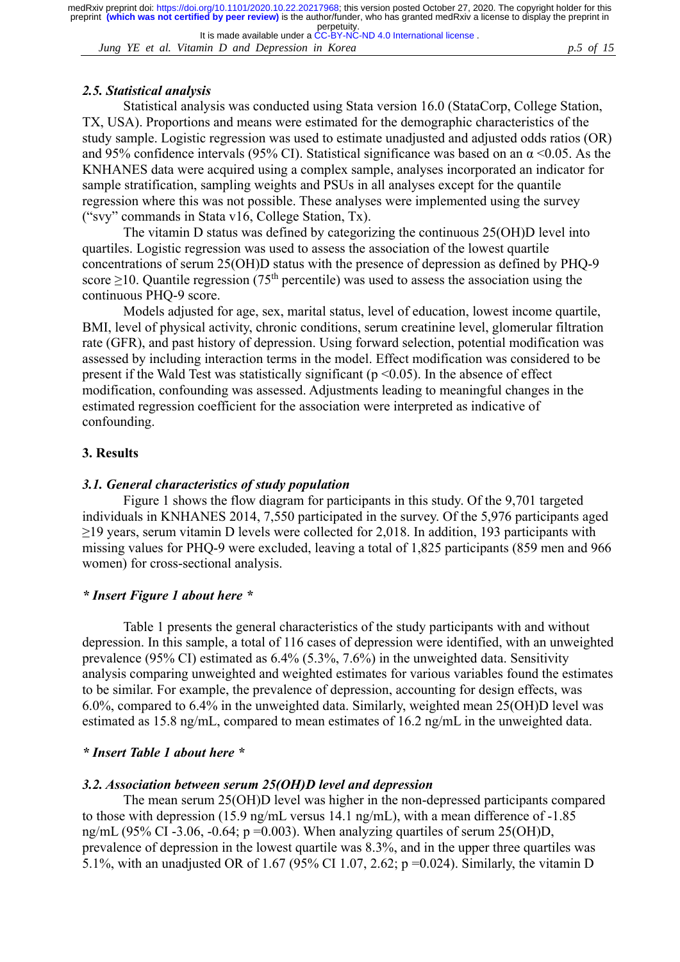It is made available under a [CC-BY-NC-ND 4.0 International license](http://creativecommons.org/licenses/by-nc-nd/4.0/) . perpetuity.

*Jung YE et al. Vitamin D and Depression in Korea p.5 of 15*

### *2.5. Statistical analysis*

Statistical analysis was conducted using Stata version 16.0 (StataCorp, College Station, TX, USA). Proportions and means were estimated for the demographic characteristics of the study sample. Logistic regression was used to estimate unadjusted and adjusted odds ratios (OR) and 95% confidence intervals (95% CI). Statistical significance was based on an  $\alpha$  <0.05. As the KNHANES data were acquired using a complex sample, analyses incorporated an indicator for sample stratification, sampling weights and PSUs in all analyses except for the quantile regression where this was not possible. These analyses were implemented using the survey ("svy" commands in Stata v16, College Station, Tx).

The vitamin D status was defined by categorizing the continuous 25(OH)D level into quartiles. Logistic regression was used to assess the association of the lowest quartile concentrations of serum 25(OH)D status with the presence of depression as defined by PHQ-9 score  $\geq$ 10. Quantile regression (75<sup>th</sup> percentile) was used to assess the association using the continuous PHQ-9 score.

Models adjusted for age, sex, marital status, level of education, lowest income quartile, BMI, level of physical activity, chronic conditions, serum creatinine level, glomerular filtration rate (GFR), and past history of depression. Using forward selection, potential modification was assessed by including interaction terms in the model. Effect modification was considered to be present if the Wald Test was statistically significant ( $p \le 0.05$ ). In the absence of effect modification, confounding was assessed. Adjustments leading to meaningful changes in the estimated regression coefficient for the association were interpreted as indicative of confounding.

### **3. Results**

#### *3.1. General characteristics of study population*

Figure 1 shows the flow diagram for participants in this study. Of the 9,701 targeted individuals in KNHANES 2014, 7,550 participated in the survey. Of the 5,976 participants aged ≥19 years, serum vitamin D levels were collected for 2,018. In addition, 193 participants with missing values for PHQ-9 were excluded, leaving a total of 1,825 participants (859 men and 966 women) for cross-sectional analysis.

### *\* Insert Figure 1 about here \**

Table 1 presents the general characteristics of the study participants with and without depression. In this sample, a total of 116 cases of depression were identified, with an unweighted prevalence (95% CI) estimated as 6.4% (5.3%, 7.6%) in the unweighted data. Sensitivity analysis comparing unweighted and weighted estimates for various variables found the estimates to be similar. For example, the prevalence of depression, accounting for design effects, was 6.0%, compared to 6.4% in the unweighted data. Similarly, weighted mean 25(OH)D level was estimated as 15.8 ng/mL, compared to mean estimates of 16.2 ng/mL in the unweighted data.

### *\* Insert Table 1 about here \**

### *3.2. Association between serum 25(OH)D level and depression*

The mean serum 25(OH)D level was higher in the non-depressed participants compared to those with depression (15.9 ng/mL versus 14.1 ng/mL), with a mean difference of -1.85 ng/mL (95% CI -3.06, -0.64;  $p = 0.003$ ). When analyzing quartiles of serum 25(OH)D, prevalence of depression in the lowest quartile was 8.3%, and in the upper three quartiles was 5.1%, with an unadjusted OR of 1.67 (95% CI 1.07, 2.62; p =0.024). Similarly, the vitamin D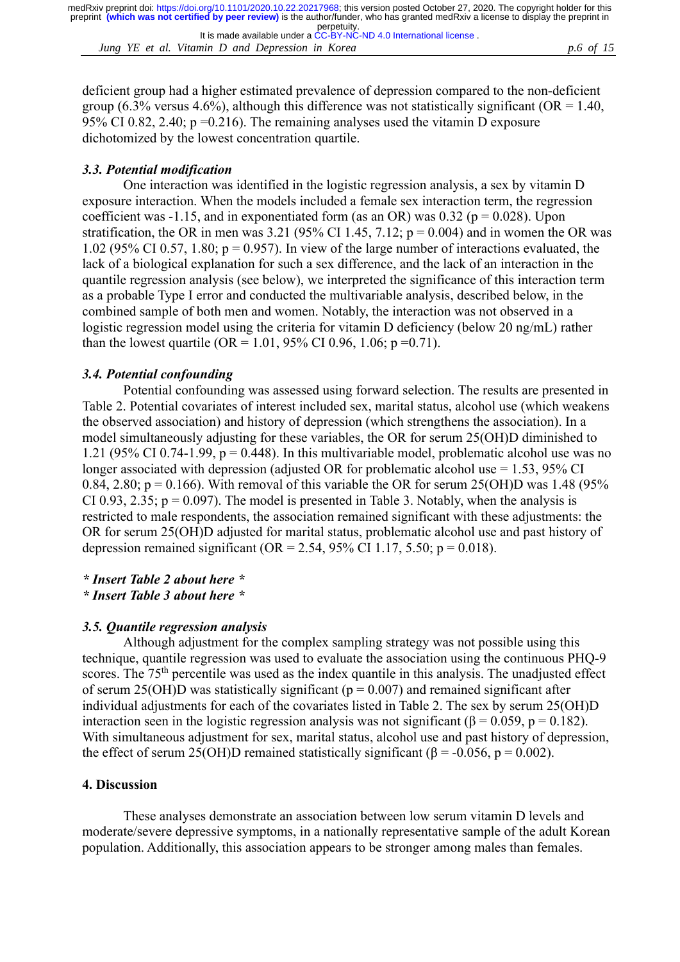*Jung YE et al. Vitamin D and Depression in Korea p.6 of 15* It is made available under a [CC-BY-NC-ND 4.0 International license](http://creativecommons.org/licenses/by-nc-nd/4.0/) .

deficient group had a higher estimated prevalence of depression compared to the non-deficient group (6.3% versus 4.6%), although this difference was not statistically significant ( $OR = 1.40$ , 95% CI 0.82, 2.40;  $p = 0.216$ ). The remaining analyses used the vitamin D exposure dichotomized by the lowest concentration quartile.

# *3.3. Potential modification*

One interaction was identified in the logistic regression analysis, a sex by vitamin D exposure interaction. When the models included a female sex interaction term, the regression coefficient was -1.15, and in exponentiated form (as an OR) was 0.32 ( $p = 0.028$ ). Upon stratification, the OR in men was 3.21 (95% CI 1.45, 7.12;  $p = 0.004$ ) and in women the OR was 1.02 (95% CI 0.57, 1.80;  $p = 0.957$ ). In view of the large number of interactions evaluated, the lack of a biological explanation for such a sex difference, and the lack of an interaction in the quantile regression analysis (see below), we interpreted the significance of this interaction term as a probable Type I error and conducted the multivariable analysis, described below, in the combined sample of both men and women. Notably, the interaction was not observed in a logistic regression model using the criteria for vitamin D deficiency (below 20 ng/mL) rather than the lowest quartile (OR = 1.01, 95% CI 0.96, 1.06; p = 0.71).

# *3.4. Potential confounding*

Potential confounding was assessed using forward selection. The results are presented in Table 2. Potential covariates of interest included sex, marital status, alcohol use (which weakens the observed association) and history of depression (which strengthens the association). In a model simultaneously adjusting for these variables, the OR for serum 25(OH)D diminished to 1.21 (95% CI 0.74-1.99,  $p = 0.448$ ). In this multivariable model, problematic alcohol use was no longer associated with depression (adjusted OR for problematic alcohol use = 1.53, 95% CI 0.84, 2.80;  $p = 0.166$ ). With removal of this variable the OR for serum 25(OH)D was 1.48 (95%) CI 0.93, 2.35;  $p = 0.097$ ). The model is presented in Table 3. Notably, when the analysis is restricted to male respondents, the association remained significant with these adjustments: the OR for serum 25(OH)D adjusted for marital status, problematic alcohol use and past history of depression remained significant (OR = 2.54, 95% CI 1.17, 5.50;  $p = 0.018$ ).

# *\* Insert Table 2 about here \**

### *\* Insert Table 3 about here \**

# *3.5. Quantile regression analysis*

Although adjustment for the complex sampling strategy was not possible using this technique, quantile regression was used to evaluate the association using the continuous PHQ-9 scores. The 75<sup>th</sup> percentile was used as the index quantile in this analysis. The unadjusted effect of serum 25(OH)D was statistically significant ( $p = 0.007$ ) and remained significant after individual adjustments for each of the covariates listed in Table 2. The sex by serum 25(OH)D interaction seen in the logistic regression analysis was not significant ( $\beta = 0.059$ ,  $p = 0.182$ ). With simultaneous adjustment for sex, marital status, alcohol use and past history of depression, the effect of serum 25(OH)D remained statistically significant ( $\beta$  = -0.056, p = 0.002).

# **4. Discussion**

These analyses demonstrate an association between low serum vitamin D levels and moderate/severe depressive symptoms, in a nationally representative sample of the adult Korean population. Additionally, this association appears to be stronger among males than females.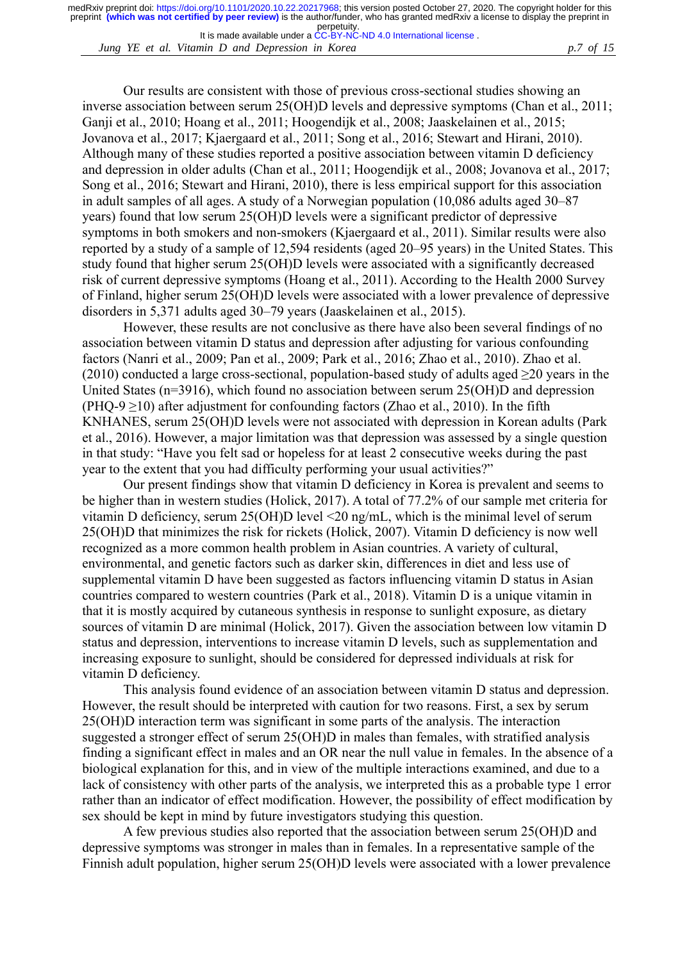*Jung YE et al. Vitamin D and Depression in Korea p.7 of 15* It is made available under a [CC-BY-NC-ND 4.0 International license](http://creativecommons.org/licenses/by-nc-nd/4.0/) .

Our results are consistent with those of previous cross-sectional studies showing an inverse association between serum 25(OH)D levels and depressive symptoms (Chan et al., 2011; Ganji et al., 2010; Hoang et al., 2011; Hoogendijk et al., 2008; Jaaskelainen et al., 2015; Jovanova et al., 2017; Kjaergaard et al., 2011; Song et al., 2016; Stewart and Hirani, 2010). Although many of these studies reported a positive association between vitamin D deficiency and depression in older adults (Chan et al., 2011; Hoogendijk et al., 2008; Jovanova et al., 2017; Song et al., 2016; Stewart and Hirani, 2010), there is less empirical support for this association in adult samples of all ages. A study of a Norwegian population (10,086 adults aged 30–87 years) found that low serum 25(OH)D levels were a significant predictor of depressive symptoms in both smokers and non-smokers (Kjaergaard et al., 2011). Similar results were also reported by a study of a sample of 12,594 residents (aged 20–95 years) in the United States. This study found that higher serum 25(OH)D levels were associated with a significantly decreased risk of current depressive symptoms (Hoang et al., 2011). According to the Health 2000 Survey of Finland, higher serum 25(OH)D levels were associated with a lower prevalence of depressive disorders in 5,371 adults aged 30–79 years (Jaaskelainen et al., 2015).

However, these results are not conclusive as there have also been several findings of no association between vitamin D status and depression after adjusting for various confounding factors (Nanri et al., 2009; Pan et al., 2009; Park et al., 2016; Zhao et al., 2010). Zhao et al. (2010) conducted a large cross-sectional, population-based study of adults aged  $\geq$ 20 years in the United States (n=3916), which found no association between serum 25(OH)D and depression (PHQ-9  $\geq$ 10) after adjustment for confounding factors (Zhao et al., 2010). In the fifth KNHANES, serum 25(OH)D levels were not associated with depression in Korean adults (Park et al., 2016). However, a major limitation was that depression was assessed by a single question in that study: "Have you felt sad or hopeless for at least 2 consecutive weeks during the past year to the extent that you had difficulty performing your usual activities?"

Our present findings show that vitamin D deficiency in Korea is prevalent and seems to be higher than in western studies (Holick, 2017). A total of 77.2% of our sample met criteria for vitamin D deficiency, serum 25(OH)D level <20 ng/mL, which is the minimal level of serum 25(OH)D that minimizes the risk for rickets (Holick, 2007). Vitamin D deficiency is now well recognized as a more common health problem in Asian countries. A variety of cultural, environmental, and genetic factors such as darker skin, differences in diet and less use of supplemental vitamin D have been suggested as factors influencing vitamin D status in Asian countries compared to western countries (Park et al., 2018). Vitamin D is a unique vitamin in that it is mostly acquired by cutaneous synthesis in response to sunlight exposure, as dietary sources of vitamin D are minimal (Holick, 2017). Given the association between low vitamin D status and depression, interventions to increase vitamin D levels, such as supplementation and increasing exposure to sunlight, should be considered for depressed individuals at risk for vitamin D deficiency.

This analysis found evidence of an association between vitamin D status and depression. However, the result should be interpreted with caution for two reasons. First, a sex by serum 25(OH)D interaction term was significant in some parts of the analysis. The interaction suggested a stronger effect of serum 25(OH)D in males than females, with stratified analysis finding a significant effect in males and an OR near the null value in females. In the absence of a biological explanation for this, and in view of the multiple interactions examined, and due to a lack of consistency with other parts of the analysis, we interpreted this as a probable type 1 error rather than an indicator of effect modification. However, the possibility of effect modification by sex should be kept in mind by future investigators studying this question.

A few previous studies also reported that the association between serum 25(OH)D and depressive symptoms was stronger in males than in females. In a representative sample of the Finnish adult population, higher serum 25(OH)D levels were associated with a lower prevalence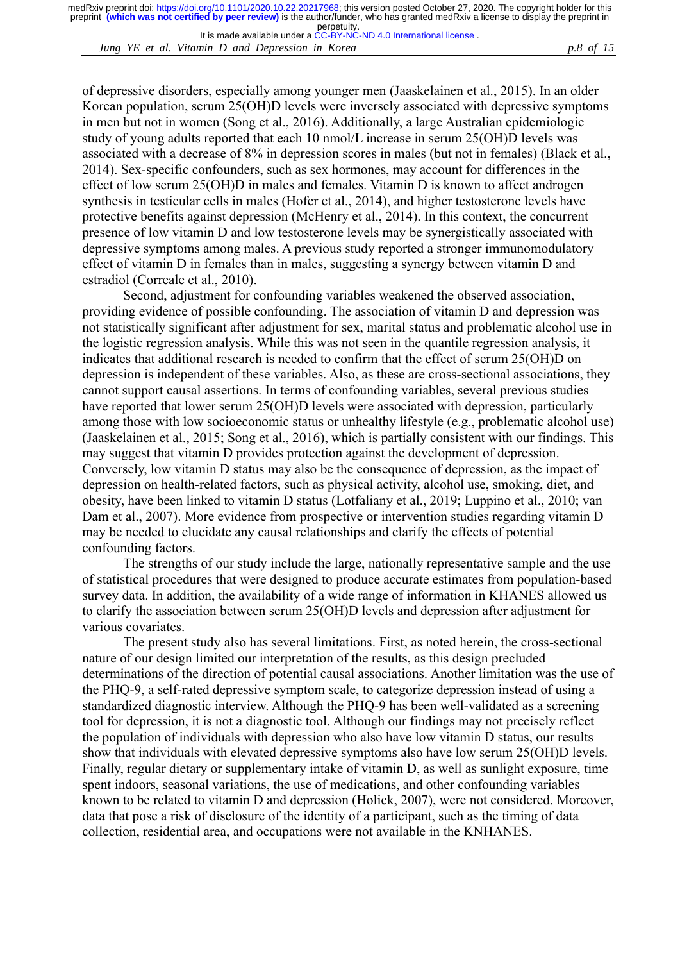It is made available under a [CC-BY-NC-ND 4.0 International license](http://creativecommons.org/licenses/by-nc-nd/4.0/) .

*Jung YE et al. Vitamin D and Depression in Korea p.8 of 15*

of depressive disorders, especially among younger men (Jaaskelainen et al., 2015). In an older Korean population, serum 25(OH)D levels were inversely associated with depressive symptoms in men but not in women (Song et al., 2016). Additionally, a large Australian epidemiologic study of young adults reported that each 10 nmol/L increase in serum 25(OH)D levels was associated with a decrease of 8% in depression scores in males (but not in females) (Black et al., 2014). Sex-specific confounders, such as sex hormones, may account for differences in the effect of low serum 25(OH)D in males and females. Vitamin D is known to affect androgen synthesis in testicular cells in males (Hofer et al., 2014), and higher testosterone levels have protective benefits against depression (McHenry et al., 2014). In this context, the concurrent presence of low vitamin D and low testosterone levels may be synergistically associated with depressive symptoms among males. A previous study reported a stronger immunomodulatory effect of vitamin D in females than in males, suggesting a synergy between vitamin D and estradiol (Correale et al., 2010).

Second, adjustment for confounding variables weakened the observed association, providing evidence of possible confounding. The association of vitamin D and depression was not statistically significant after adjustment for sex, marital status and problematic alcohol use in the logistic regression analysis. While this was not seen in the quantile regression analysis, it indicates that additional research is needed to confirm that the effect of serum 25(OH)D on depression is independent of these variables. Also, as these are cross-sectional associations, they cannot support causal assertions. In terms of confounding variables, several previous studies have reported that lower serum 25(OH)D levels were associated with depression, particularly among those with low socioeconomic status or unhealthy lifestyle (e.g., problematic alcohol use) (Jaaskelainen et al., 2015; Song et al., 2016), which is partially consistent with our findings. This may suggest that vitamin D provides protection against the development of depression. Conversely, low vitamin D status may also be the consequence of depression, as the impact of depression on health-related factors, such as physical activity, alcohol use, smoking, diet, and obesity, have been linked to vitamin D status (Lotfaliany et al., 2019; Luppino et al., 2010; van Dam et al., 2007). More evidence from prospective or intervention studies regarding vitamin D may be needed to elucidate any causal relationships and clarify the effects of potential confounding factors.

The strengths of our study include the large, nationally representative sample and the use of statistical procedures that were designed to produce accurate estimates from population-based survey data. In addition, the availability of a wide range of information in KHANES allowed us to clarify the association between serum 25(OH)D levels and depression after adjustment for various covariates.

The present study also has several limitations. First, as noted herein, the cross-sectional nature of our design limited our interpretation of the results, as this design precluded determinations of the direction of potential causal associations. Another limitation was the use of the PHQ-9, a self-rated depressive symptom scale, to categorize depression instead of using a standardized diagnostic interview. Although the PHQ-9 has been well-validated as a screening tool for depression, it is not a diagnostic tool. Although our findings may not precisely reflect the population of individuals with depression who also have low vitamin D status, our results show that individuals with elevated depressive symptoms also have low serum 25(OH)D levels. Finally, regular dietary or supplementary intake of vitamin D, as well as sunlight exposure, time spent indoors, seasonal variations, the use of medications, and other confounding variables known to be related to vitamin D and depression (Holick, 2007), were not considered. Moreover, data that pose a risk of disclosure of the identity of a participant, such as the timing of data collection, residential area, and occupations were not available in the KNHANES.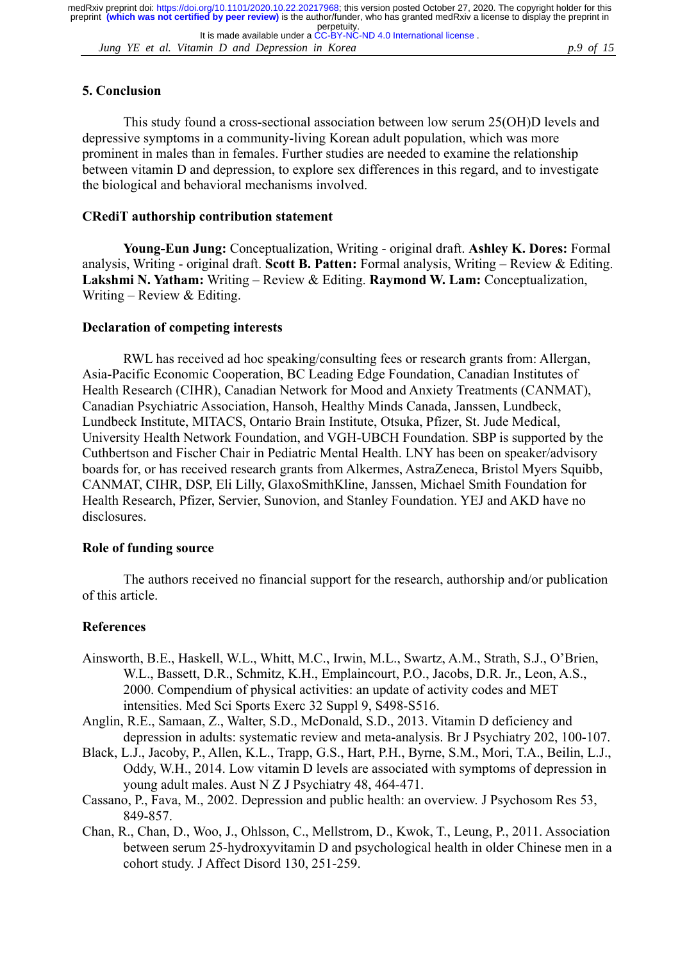*Jung YE et al. Vitamin D and Depression in Korea p.9 of 15* It is made available under a [CC-BY-NC-ND 4.0 International license](http://creativecommons.org/licenses/by-nc-nd/4.0/) .

### **5. Conclusion**

This study found a cross-sectional association between low serum 25(OH)D levels and depressive symptoms in a community-living Korean adult population, which was more prominent in males than in females. Further studies are needed to examine the relationship between vitamin D and depression, to explore sex differences in this regard, and to investigate the biological and behavioral mechanisms involved.

#### **CRediT authorship contribution statement**

**Young-Eun Jung:** Conceptualization, Writing - original draft. **Ashley K. Dores:** Formal analysis, Writing - original draft. **Scott B. Patten:** Formal analysis, Writing – Review & Editing. **Lakshmi N. Yatham:** Writing – Review & Editing. **Raymond W. Lam:** Conceptualization, Writing – Review & Editing.

#### **Declaration of competing interests**

RWL has received ad hoc speaking/consulting fees or research grants from: Allergan, Asia-Pacific Economic Cooperation, BC Leading Edge Foundation, Canadian Institutes of Health Research (CIHR), Canadian Network for Mood and Anxiety Treatments (CANMAT), Canadian Psychiatric Association, Hansoh, Healthy Minds Canada, Janssen, Lundbeck, Lundbeck Institute, MITACS, Ontario Brain Institute, Otsuka, Pfizer, St. Jude Medical, University Health Network Foundation, and VGH-UBCH Foundation. SBP is supported by the Cuthbertson and Fischer Chair in Pediatric Mental Health. LNY has been on speaker/advisory boards for, or has received research grants from Alkermes, AstraZeneca, Bristol Myers Squibb, CANMAT, CIHR, DSP, Eli Lilly, GlaxoSmithKline, Janssen, Michael Smith Foundation for Health Research, Pfizer, Servier, Sunovion, and Stanley Foundation. YEJ and AKD have no disclosures.

### **Role of funding source**

The authors received no financial support for the research, authorship and/or publication of this article.

#### **References**

- Ainsworth, B.E., Haskell, W.L., Whitt, M.C., Irwin, M.L., Swartz, A.M., Strath, S.J., O'Brien, W.L., Bassett, D.R., Schmitz, K.H., Emplaincourt, P.O., Jacobs, D.R. Jr., Leon, A.S., 2000. Compendium of physical activities: an update of activity codes and MET intensities. Med Sci Sports Exerc 32 Suppl 9, S498-S516.
- Anglin, R.E., Samaan, Z., Walter, S.D., McDonald, S.D., 2013. Vitamin D deficiency and depression in adults: systematic review and meta-analysis. Br J Psychiatry 202, 100-107.
- Black, L.J., Jacoby, P., Allen, K.L., Trapp, G.S., Hart, P.H., Byrne, S.M., Mori, T.A., Beilin, L.J., Oddy, W.H., 2014. Low vitamin D levels are associated with symptoms of depression in young adult males. Aust N Z J Psychiatry 48, 464-471.
- Cassano, P., Fava, M., 2002. Depression and public health: an overview. J Psychosom Res 53, 849-857.
- Chan, R., Chan, D., Woo, J., Ohlsson, C., Mellstrom, D., Kwok, T., Leung, P., 2011. Association between serum 25-hydroxyvitamin D and psychological health in older Chinese men in a cohort study. J Affect Disord 130, 251-259.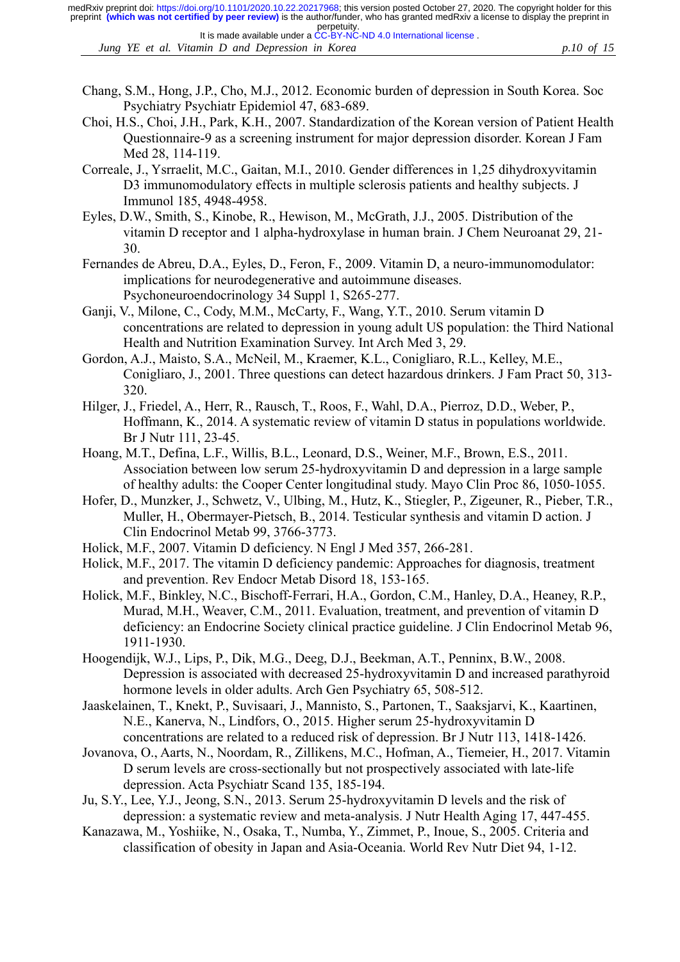- Chang, S.M., Hong, J.P., Cho, M.J., 2012. Economic burden of depression in South Korea. Soc Psychiatry Psychiatr Epidemiol 47, 683-689.
- Choi, H.S., Choi, J.H., Park, K.H., 2007. Standardization of the Korean version of Patient Health Questionnaire-9 as a screening instrument for major depression disorder. Korean J Fam Med 28, 114-119.
- Correale, J., Ysrraelit, M.C., Gaitan, M.I., 2010. Gender differences in 1,25 dihydroxyvitamin D3 immunomodulatory effects in multiple sclerosis patients and healthy subjects. J Immunol 185, 4948-4958.
- Eyles, D.W., Smith, S., Kinobe, R., Hewison, M., McGrath, J.J., 2005. Distribution of the vitamin D receptor and 1 alpha-hydroxylase in human brain. J Chem Neuroanat 29, 21- 30.
- Fernandes de Abreu, D.A., Eyles, D., Feron, F., 2009. Vitamin D, a neuro-immunomodulator: implications for neurodegenerative and autoimmune diseases. Psychoneuroendocrinology 34 Suppl 1, S265-277.
- Ganji, V., Milone, C., Cody, M.M., McCarty, F., Wang, Y.T., 2010. Serum vitamin D concentrations are related to depression in young adult US population: the Third National Health and Nutrition Examination Survey. Int Arch Med 3, 29.
- Gordon, A.J., Maisto, S.A., McNeil, M., Kraemer, K.L., Conigliaro, R.L., Kelley, M.E., Conigliaro, J., 2001. Three questions can detect hazardous drinkers. J Fam Pract 50, 313- 320.
- Hilger, J., Friedel, A., Herr, R., Rausch, T., Roos, F., Wahl, D.A., Pierroz, D.D., Weber, P., Hoffmann, K., 2014. A systematic review of vitamin D status in populations worldwide. Br J Nutr 111, 23-45.
- Hoang, M.T., Defina, L.F., Willis, B.L., Leonard, D.S., Weiner, M.F., Brown, E.S., 2011. Association between low serum 25-hydroxyvitamin D and depression in a large sample of healthy adults: the Cooper Center longitudinal study. Mayo Clin Proc 86, 1050-1055.
- Hofer, D., Munzker, J., Schwetz, V., Ulbing, M., Hutz, K., Stiegler, P., Zigeuner, R., Pieber, T.R., Muller, H., Obermayer-Pietsch, B., 2014. Testicular synthesis and vitamin D action. J Clin Endocrinol Metab 99, 3766-3773.
- Holick, M.F., 2007. Vitamin D deficiency. N Engl J Med 357, 266-281.
- Holick, M.F., 2017. The vitamin D deficiency pandemic: Approaches for diagnosis, treatment and prevention. Rev Endocr Metab Disord 18, 153-165.
- Holick, M.F., Binkley, N.C., Bischoff-Ferrari, H.A., Gordon, C.M., Hanley, D.A., Heaney, R.P., Murad, M.H., Weaver, C.M., 2011. Evaluation, treatment, and prevention of vitamin D deficiency: an Endocrine Society clinical practice guideline. J Clin Endocrinol Metab 96, 1911-1930.
- Hoogendijk, W.J., Lips, P., Dik, M.G., Deeg, D.J., Beekman, A.T., Penninx, B.W., 2008. Depression is associated with decreased 25-hydroxyvitamin D and increased parathyroid hormone levels in older adults. Arch Gen Psychiatry 65, 508-512.
- Jaaskelainen, T., Knekt, P., Suvisaari, J., Mannisto, S., Partonen, T., Saaksjarvi, K., Kaartinen, N.E., Kanerva, N., Lindfors, O., 2015. Higher serum 25-hydroxyvitamin D concentrations are related to a reduced risk of depression. Br J Nutr 113, 1418-1426.
- Jovanova, O., Aarts, N., Noordam, R., Zillikens, M.C., Hofman, A., Tiemeier, H., 2017. Vitamin D serum levels are cross-sectionally but not prospectively associated with late-life depression. Acta Psychiatr Scand 135, 185-194.
- Ju, S.Y., Lee, Y.J., Jeong, S.N., 2013. Serum 25-hydroxyvitamin D levels and the risk of depression: a systematic review and meta-analysis. J Nutr Health Aging 17, 447-455.
- Kanazawa, M., Yoshiike, N., Osaka, T., Numba, Y., Zimmet, P., Inoue, S., 2005. Criteria and classification of obesity in Japan and Asia-Oceania. World Rev Nutr Diet 94, 1-12.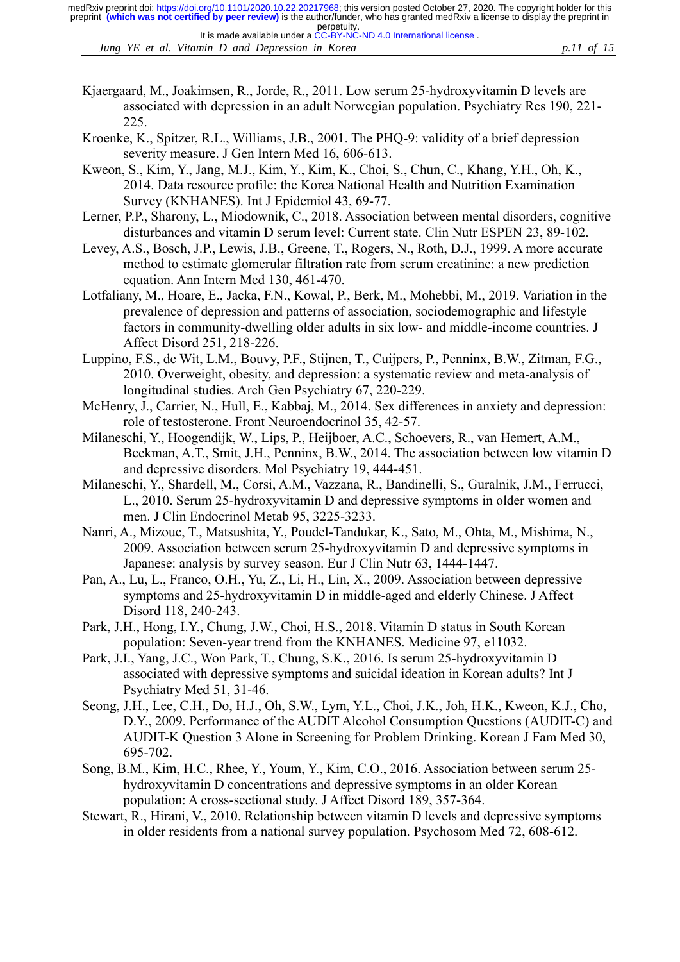*Jung YE et al. Vitamin D and Depression in Korea p.11 of 15* It is made available under a [CC-BY-NC-ND 4.0 International license](http://creativecommons.org/licenses/by-nc-nd/4.0/) .

- Kjaergaard, M., Joakimsen, R., Jorde, R., 2011. Low serum 25-hydroxyvitamin D levels are associated with depression in an adult Norwegian population. Psychiatry Res 190, 221- 225.
- Kroenke, K., Spitzer, R.L., Williams, J.B., 2001. The PHQ-9: validity of a brief depression severity measure. J Gen Intern Med 16, 606-613.
- Kweon, S., Kim, Y., Jang, M.J., Kim, Y., Kim, K., Choi, S., Chun, C., Khang, Y.H., Oh, K., 2014. Data resource profile: the Korea National Health and Nutrition Examination Survey (KNHANES). Int J Epidemiol 43, 69-77.
- Lerner, P.P., Sharony, L., Miodownik, C., 2018. Association between mental disorders, cognitive disturbances and vitamin D serum level: Current state. Clin Nutr ESPEN 23, 89-102.
- Levey, A.S., Bosch, J.P., Lewis, J.B., Greene, T., Rogers, N., Roth, D.J., 1999. A more accurate method to estimate glomerular filtration rate from serum creatinine: a new prediction equation. Ann Intern Med 130, 461-470.
- Lotfaliany, M., Hoare, E., Jacka, F.N., Kowal, P., Berk, M., Mohebbi, M., 2019. Variation in the prevalence of depression and patterns of association, sociodemographic and lifestyle factors in community-dwelling older adults in six low- and middle-income countries. J Affect Disord 251, 218-226.
- Luppino, F.S., de Wit, L.M., Bouvy, P.F., Stijnen, T., Cuijpers, P., Penninx, B.W., Zitman, F.G., 2010. Overweight, obesity, and depression: a systematic review and meta-analysis of longitudinal studies. Arch Gen Psychiatry 67, 220-229.
- McHenry, J., Carrier, N., Hull, E., Kabbaj, M., 2014. Sex differences in anxiety and depression: role of testosterone. Front Neuroendocrinol 35, 42-57.
- Milaneschi, Y., Hoogendijk, W., Lips, P., Heijboer, A.C., Schoevers, R., van Hemert, A.M., Beekman, A.T., Smit, J.H., Penninx, B.W., 2014. The association between low vitamin D and depressive disorders. Mol Psychiatry 19, 444-451.
- Milaneschi, Y., Shardell, M., Corsi, A.M., Vazzana, R., Bandinelli, S., Guralnik, J.M., Ferrucci, L., 2010. Serum 25-hydroxyvitamin D and depressive symptoms in older women and men. J Clin Endocrinol Metab 95, 3225-3233.
- Nanri, A., Mizoue, T., Matsushita, Y., Poudel-Tandukar, K., Sato, M., Ohta, M., Mishima, N., 2009. Association between serum 25-hydroxyvitamin D and depressive symptoms in Japanese: analysis by survey season. Eur J Clin Nutr 63, 1444-1447.
- Pan, A., Lu, L., Franco, O.H., Yu, Z., Li, H., Lin, X., 2009. Association between depressive symptoms and 25-hydroxyvitamin D in middle-aged and elderly Chinese. J Affect Disord 118, 240-243.
- Park, J.H., Hong, I.Y., Chung, J.W., Choi, H.S., 2018. Vitamin D status in South Korean population: Seven-year trend from the KNHANES. Medicine 97, e11032.
- Park, J.I., Yang, J.C., Won Park, T., Chung, S.K., 2016. Is serum 25-hydroxyvitamin D associated with depressive symptoms and suicidal ideation in Korean adults? Int J Psychiatry Med 51, 31-46.
- Seong, J.H., Lee, C.H., Do, H.J., Oh, S.W., Lym, Y.L., Choi, J.K., Joh, H.K., Kweon, K.J., Cho, D.Y., 2009. Performance of the AUDIT Alcohol Consumption Questions (AUDIT-C) and AUDIT-K Question 3 Alone in Screening for Problem Drinking. Korean J Fam Med 30, 695-702.
- Song, B.M., Kim, H.C., Rhee, Y., Youm, Y., Kim, C.O., 2016. Association between serum 25 hydroxyvitamin D concentrations and depressive symptoms in an older Korean population: A cross-sectional study. J Affect Disord 189, 357-364.
- Stewart, R., Hirani, V., 2010. Relationship between vitamin D levels and depressive symptoms in older residents from a national survey population. Psychosom Med 72, 608-612.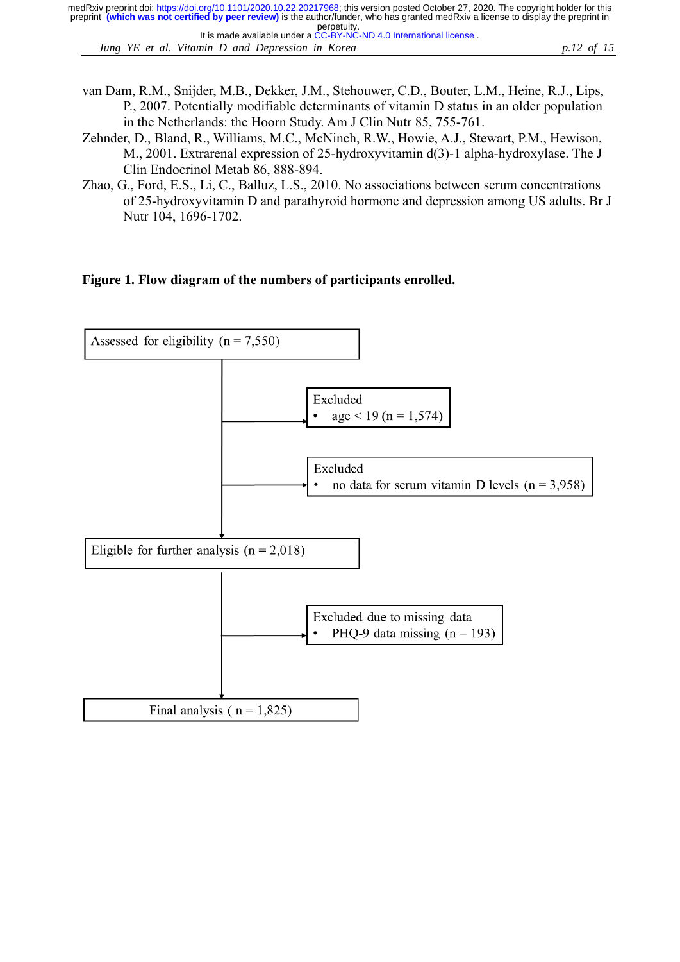*Jung YE et al. Vitamin D and Depression in Korea p.12 of 15* It is made available under a [CC-BY-NC-ND 4.0 International license](http://creativecommons.org/licenses/by-nc-nd/4.0/) .

- van Dam, R.M., Snijder, M.B., Dekker, J.M., Stehouwer, C.D., Bouter, L.M., Heine, R.J., Lips, P., 2007. Potentially modifiable determinants of vitamin D status in an older population in the Netherlands: the Hoorn Study. Am J Clin Nutr 85, 755-761.
- Zehnder, D., Bland, R., Williams, M.C., McNinch, R.W., Howie, A.J., Stewart, P.M., Hewison, M., 2001. Extrarenal expression of 25-hydroxyvitamin d(3)-1 alpha-hydroxylase. The J Clin Endocrinol Metab 86, 888-894.
- Zhao, G., Ford, E.S., Li, C., Balluz, L.S., 2010. No associations between serum concentrations of 25-hydroxyvitamin D and parathyroid hormone and depression among US adults. Br J Nutr 104, 1696-1702.

# **Figure 1. Flow diagram of the numbers of participants enrolled.**

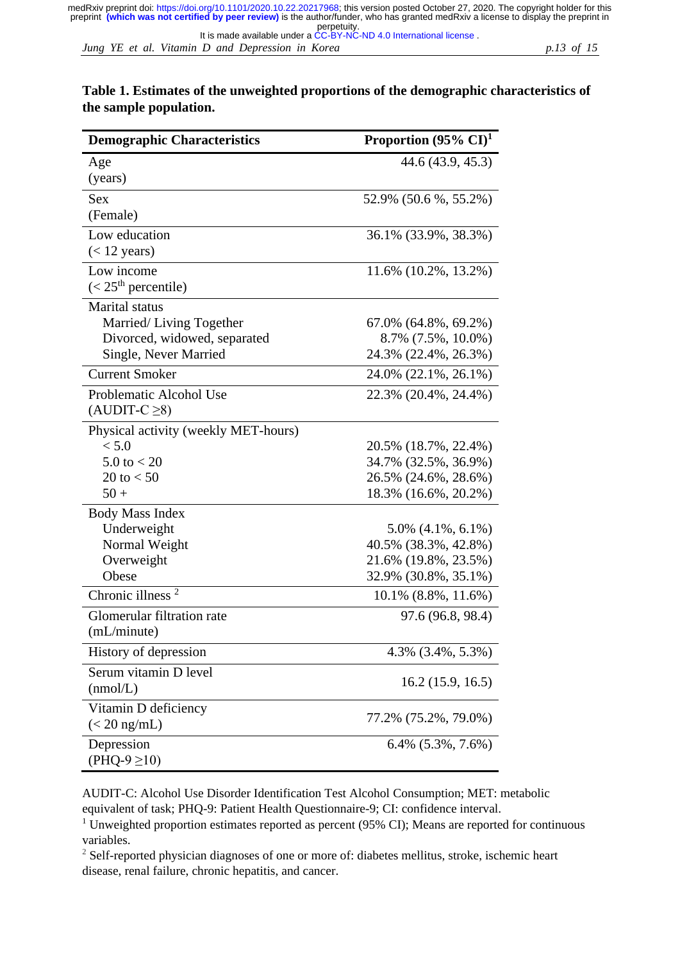# **Table 1. Estimates of the unweighted proportions of the demographic characteristics of the sample population.**

| <b>Demographic Characteristics</b>   | Proportion $(95\% \text{ CI})^1$ |
|--------------------------------------|----------------------------------|
| Age                                  | 44.6 (43.9, 45.3)                |
| (years)                              |                                  |
| <b>Sex</b>                           | 52.9% (50.6 %, 55.2%)            |
| (Female)                             |                                  |
| Low education                        | 36.1% (33.9%, 38.3%)             |
| $(< 12$ years)                       |                                  |
| Low income                           | 11.6% (10.2%, 13.2%)             |
| $(< 25th$ percentile)                |                                  |
| Marital status                       |                                  |
| Married/Living Together              | $67.0\%$ $(64.8\%, 69.2\%)$      |
| Divorced, widowed, separated         | 8.7% (7.5%, 10.0%)               |
| Single, Never Married                | 24.3% (22.4%, 26.3%)             |
| <b>Current Smoker</b>                | 24.0% (22.1%, 26.1%)             |
| Problematic Alcohol Use              | 22.3% (20.4%, 24.4%)             |
| $(AUDIT-C \ge 8)$                    |                                  |
| Physical activity (weekly MET-hours) |                                  |
| < 5.0                                | 20.5% (18.7%, 22.4%)             |
| $5.0 \text{ to } 20$                 | 34.7% (32.5%, 36.9%)             |
| 20 to $< 50$                         | 26.5% (24.6%, 28.6%)             |
| $50 +$                               | 18.3% (16.6%, 20.2%)             |
| <b>Body Mass Index</b>               |                                  |
| Underweight                          | $5.0\%$ $(4.1\%, 6.1\%)$         |
| Normal Weight                        | 40.5% (38.3%, 42.8%)             |
| Overweight                           | 21.6% (19.8%, 23.5%)             |
| Obese                                | 32.9% (30.8%, 35.1%)             |
| Chronic illness $2$                  | $10.1\%$ $(8.8\%, 11.6\%)$       |
| Glomerular filtration rate           | 97.6 (96.8, 98.4)                |
| (mL/minute)                          |                                  |
| History of depression                | 4.3% (3.4%, 5.3%)                |
| Serum vitamin D level                |                                  |
| (mmol/L)                             | 16.2(15.9, 16.5)                 |
| Vitamin D deficiency                 |                                  |
| $\left( < 20 \text{ ng/mL} \right)$  | 77.2% (75.2%, 79.0%)             |
| Depression                           | $6.4\%$ $(5.3\%, 7.6\%)$         |
| (PHQ-9 ≥10)                          |                                  |

AUDIT-C: Alcohol Use Disorder Identification Test Alcohol Consumption; MET: metabolic equivalent of task; PHQ-9: Patient Health Questionnaire-9; CI: confidence interval.

<sup>1</sup> Unweighted proportion estimates reported as percent (95% CI); Means are reported for continuous variables.

<sup>2</sup> Self-reported physician diagnoses of one or more of: diabetes mellitus, stroke, ischemic heart disease, renal failure, chronic hepatitis, and cancer.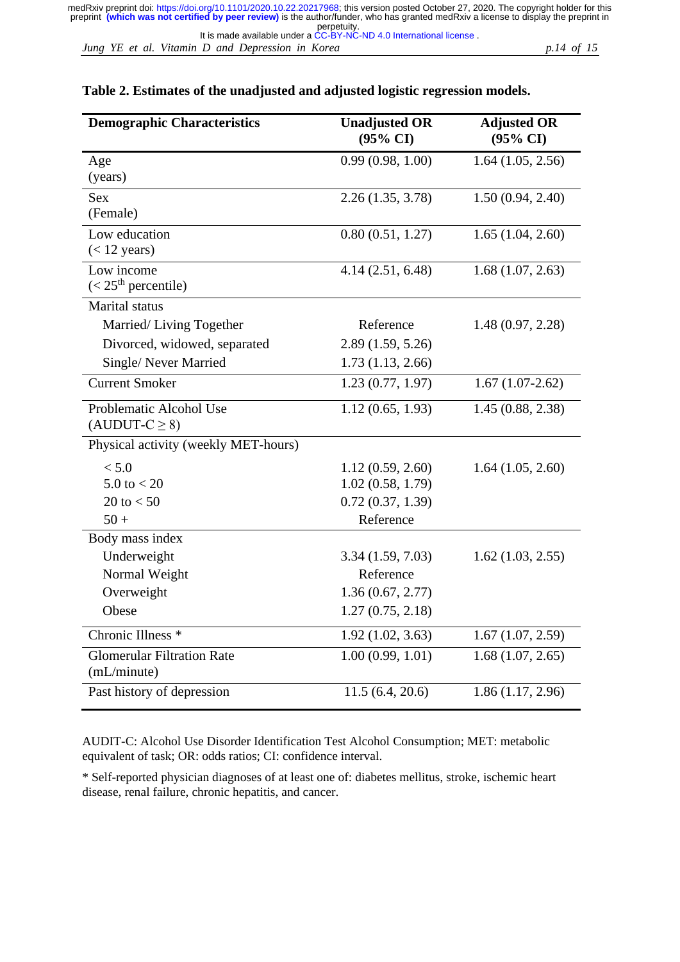*Jung YE et al. Vitamin D and Depression in Korea p.14 of 15* It is made available under a [CC-BY-NC-ND 4.0 International license](http://creativecommons.org/licenses/by-nc-nd/4.0/) .

|  |  | Table 2. Estimates of the unadjusted and adjusted logistic regression models. |
|--|--|-------------------------------------------------------------------------------|
|  |  |                                                                               |

| <b>Demographic Characteristics</b>   | <b>Unadjusted OR</b><br>$(95\% \text{ CI})$ | <b>Adjusted OR</b><br>$(95\% \text{ CI})$ |
|--------------------------------------|---------------------------------------------|-------------------------------------------|
| Age                                  | 0.99(0.98, 1.00)                            | 1.64(1.05, 2.56)                          |
| (years)                              |                                             |                                           |
| <b>Sex</b>                           | 2.26(1.35, 3.78)                            | 1.50(0.94, 2.40)                          |
| (Female)                             |                                             |                                           |
| Low education                        | 0.80(0.51, 1.27)                            | 1.65(1.04, 2.60)                          |
| $(< 12 \text{ years})$               |                                             |                                           |
| Low income                           | 4.14(2.51, 6.48)                            | 1.68(1.07, 2.63)                          |
| $(< 25th$ percentile)                |                                             |                                           |
| <b>Marital</b> status                |                                             |                                           |
| Married/Living Together              | Reference                                   | 1.48(0.97, 2.28)                          |
| Divorced, widowed, separated         | 2.89(1.59, 5.26)                            |                                           |
| Single/Never Married                 | 1.73(1.13, 2.66)                            |                                           |
| <b>Current Smoker</b>                | 1.23(0.77, 1.97)                            | $1.67(1.07-2.62)$                         |
| Problematic Alcohol Use              | 1.12(0.65, 1.93)                            | 1.45(0.88, 2.38)                          |
| $(AUDUT-C \ge 8)$                    |                                             |                                           |
| Physical activity (weekly MET-hours) |                                             |                                           |
| < 5.0                                | 1.12(0.59, 2.60)                            | 1.64(1.05, 2.60)                          |
| $5.0 \text{ to } < 20$               | 1.02(0.58, 1.79)                            |                                           |
| 20 to $< 50$                         | 0.72(0.37, 1.39)                            |                                           |
| $50 +$                               | Reference                                   |                                           |
| Body mass index                      |                                             |                                           |
| Underweight                          | 3.34(1.59, 7.03)                            | $1.62$ $(1.03, 2.55)$                     |
| Normal Weight                        | Reference                                   |                                           |
| Overweight                           | 1.36(0.67, 2.77)                            |                                           |
| Obese                                | 1.27(0.75, 2.18)                            |                                           |
| Chronic Illness <sup>*</sup>         | 1.92(1.02, 3.63)                            | 1.67(1.07, 2.59)                          |
| <b>Glomerular Filtration Rate</b>    | 1.00(0.99, 1.01)                            | 1.68(1.07, 2.65)                          |
| (mL/minute)                          |                                             |                                           |
| Past history of depression           | 11.5(6.4, 20.6)                             | 1.86(1.17, 2.96)                          |

AUDIT-C: Alcohol Use Disorder Identification Test Alcohol Consumption; MET: metabolic equivalent of task; OR: odds ratios; CI: confidence interval.

\* Self-reported physician diagnoses of at least one of: diabetes mellitus, stroke, ischemic heart disease, renal failure, chronic hepatitis, and cancer.